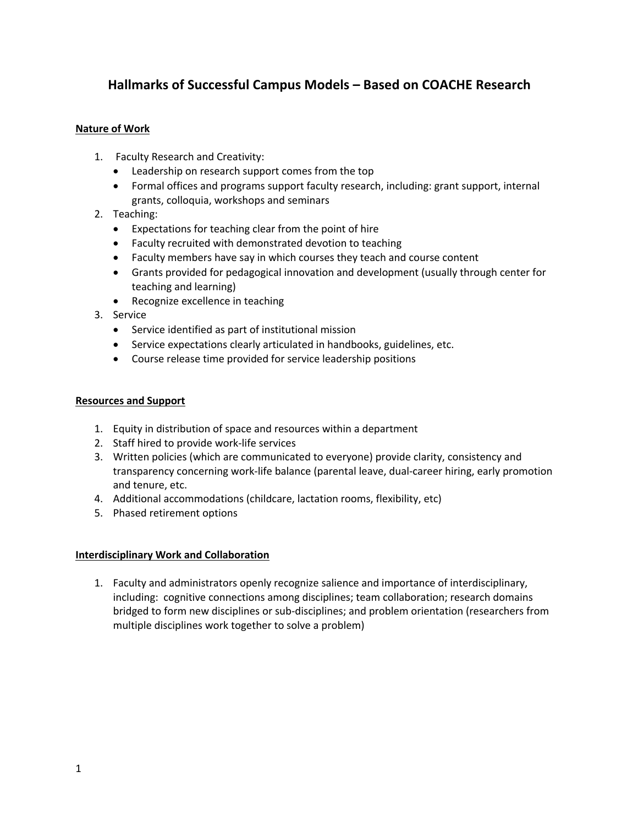# **Hallmarks of Successful Campus Models – Based on COACHE Research**

### **Nature of Work**

- 1. Faculty Research and Creativity:
	- Leadership on research support comes from the top
	- Formal offices and programs support faculty research, including: grant support, internal grants, colloquia, workshops and seminars
- 2. Teaching:
	- Expectations for teaching clear from the point of hire
	- Faculty recruited with demonstrated devotion to teaching
	- Faculty members have say in which courses they teach and course content
	- Grants provided for pedagogical innovation and development (usually through center for teaching and learning)
	- Recognize excellence in teaching
- 3. Service
	- Service identified as part of institutional mission
	- Service expectations clearly articulated in handbooks, guidelines, etc.
	- Course release time provided for service leadership positions

#### **Resources and Support**

- 1. Equity in distribution of space and resources within a department
- 2. Staff hired to provide work-life services
- 3. Written policies (which are communicated to everyone) provide clarity, consistency and transparency concerning work-life balance (parental leave, dual-career hiring, early promotion and tenure, etc.
- 4. Additional accommodations (childcare, lactation rooms, flexibility, etc)
- 5. Phased retirement options

### **Interdisciplinary Work and Collaboration**

1. Faculty and administrators openly recognize salience and importance of interdisciplinary, including: cognitive connections among disciplines; team collaboration; research domains bridged to form new disciplines or sub-disciplines; and problem orientation (researchers from multiple disciplines work together to solve a problem)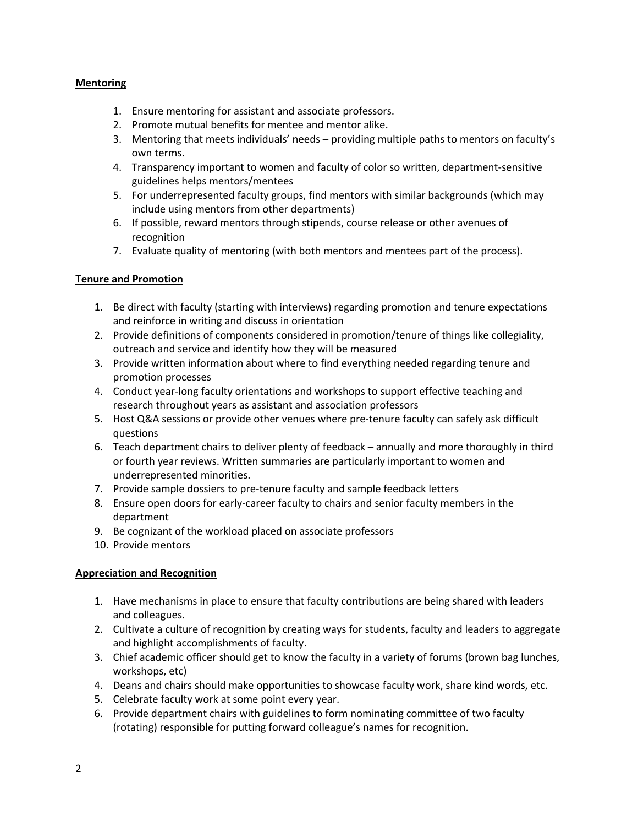## **Mentoring**

- 1. Ensure mentoring for assistant and associate professors.
- 2. Promote mutual benefits for mentee and mentor alike.
- 3. Mentoring that meets individuals' needs providing multiple paths to mentors on faculty's own terms.
- 4. Transparency important to women and faculty of color so written, department-sensitive guidelines helps mentors/mentees
- 5. For underrepresented faculty groups, find mentors with similar backgrounds (which may include using mentors from other departments)
- 6. If possible, reward mentors through stipends, course release or other avenues of recognition
- 7. Evaluate quality of mentoring (with both mentors and mentees part of the process).

# **Tenure and Promotion**

- 1. Be direct with faculty (starting with interviews) regarding promotion and tenure expectations and reinforce in writing and discuss in orientation
- 2. Provide definitions of components considered in promotion/tenure of things like collegiality, outreach and service and identify how they will be measured
- 3. Provide written information about where to find everything needed regarding tenure and promotion processes
- 4. Conduct year-long faculty orientations and workshops to support effective teaching and research throughout years as assistant and association professors
- 5. Host Q&A sessions or provide other venues where pre-tenure faculty can safely ask difficult questions
- 6. Teach department chairs to deliver plenty of feedback annually and more thoroughly in third or fourth year reviews. Written summaries are particularly important to women and underrepresented minorities.
- 7. Provide sample dossiers to pre-tenure faculty and sample feedback letters
- 8. Ensure open doors for early-career faculty to chairs and senior faculty members in the department
- 9. Be cognizant of the workload placed on associate professors
- 10. Provide mentors

# **Appreciation and Recognition**

- 1. Have mechanisms in place to ensure that faculty contributions are being shared with leaders and colleagues.
- 2. Cultivate a culture of recognition by creating ways for students, faculty and leaders to aggregate and highlight accomplishments of faculty.
- 3. Chief academic officer should get to know the faculty in a variety of forums (brown bag lunches, workshops, etc)
- 4. Deans and chairs should make opportunities to showcase faculty work, share kind words, etc.
- 5. Celebrate faculty work at some point every year.
- 6. Provide department chairs with guidelines to form nominating committee of two faculty (rotating) responsible for putting forward colleague's names for recognition.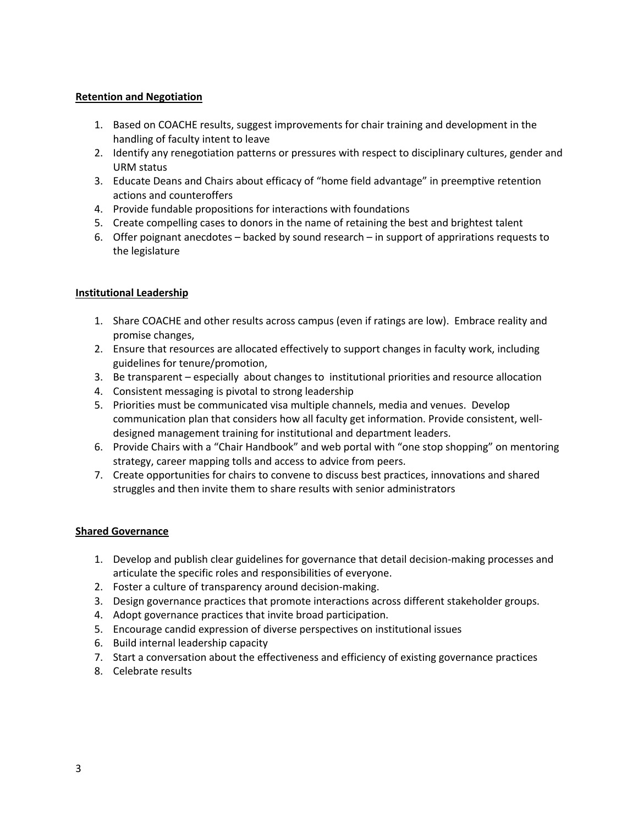### **Retention and Negotiation**

- 1. Based on COACHE results, suggest improvements for chair training and development in the handling of faculty intent to leave
- 2. Identify any renegotiation patterns or pressures with respect to disciplinary cultures, gender and URM status
- 3. Educate Deans and Chairs about efficacy of "home field advantage" in preemptive retention actions and counteroffers
- 4. Provide fundable propositions for interactions with foundations
- 5. Create compelling cases to donors in the name of retaining the best and brightest talent
- 6. Offer poignant anecdotes backed by sound research in support of apprirations requests to the legislature

### **Institutional Leadership**

- 1. Share COACHE and other results across campus (even if ratings are low). Embrace reality and promise changes,
- 2. Ensure that resources are allocated effectively to support changes in faculty work, including guidelines for tenure/promotion,
- 3. Be transparent especially about changes to institutional priorities and resource allocation
- 4. Consistent messaging is pivotal to strong leadership
- 5. Priorities must be communicated visa multiple channels, media and venues. Develop communication plan that considers how all faculty get information. Provide consistent, welldesigned management training for institutional and department leaders.
- 6. Provide Chairs with a "Chair Handbook" and web portal with "one stop shopping" on mentoring strategy, career mapping tolls and access to advice from peers.
- 7. Create opportunities for chairs to convene to discuss best practices, innovations and shared struggles and then invite them to share results with senior administrators

### **Shared Governance**

- 1. Develop and publish clear guidelines for governance that detail decision-making processes and articulate the specific roles and responsibilities of everyone.
- 2. Foster a culture of transparency around decision-making.
- 3. Design governance practices that promote interactions across different stakeholder groups.
- 4. Adopt governance practices that invite broad participation.
- 5. Encourage candid expression of diverse perspectives on institutional issues
- 6. Build internal leadership capacity
- 7. Start a conversation about the effectiveness and efficiency of existing governance practices
- 8. Celebrate results